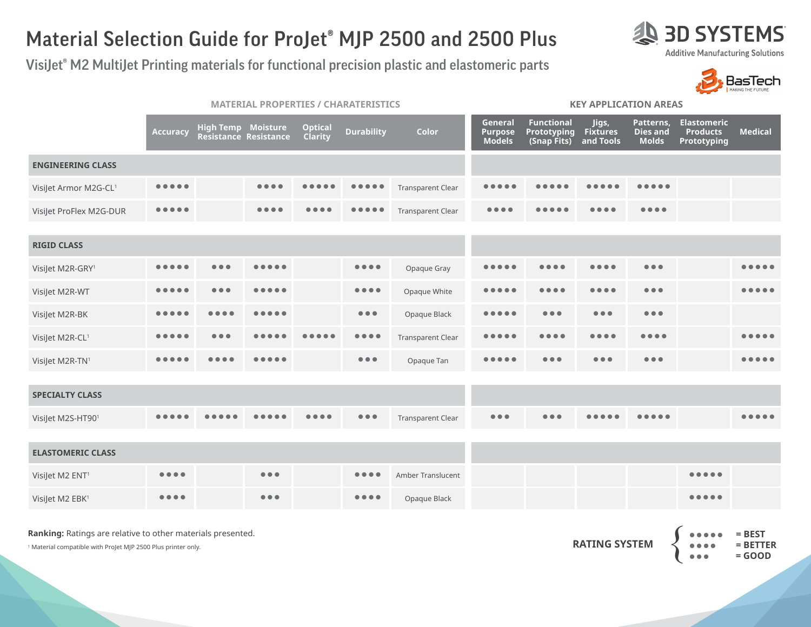## Material Selection Guide for ProJet® MJP 2500 and 2500 Plus

VisiJet® M2 MultiJet Printing materials for functional precision plastic and elastomeric parts

|                             | <b>MATERIAL PROPERTIES / CHARATERISTICS</b> |                               |                                                    |                           |                                |                          | <b>KEY APPLICATION AREAS</b>          |                                                        |                                       |                                              |                                                      |                |  |
|-----------------------------|---------------------------------------------|-------------------------------|----------------------------------------------------|---------------------------|--------------------------------|--------------------------|---------------------------------------|--------------------------------------------------------|---------------------------------------|----------------------------------------------|------------------------------------------------------|----------------|--|
|                             | Accuracy                                    |                               | <b>High Temp Moisture</b><br>Resistance Resistance | <b>Optical</b><br>Clarity | <b>Durability</b>              | Color                    | General<br>Purpose<br><b>Models</b>   | <b>Functional</b><br><b>Prototyping</b><br>(Snap Fits) | Jigs,<br><b>Fixtures</b><br>and Tools | Patterns,<br><b>Dies and</b><br><b>Molds</b> | <b>Elastomeric</b><br><b>Products</b><br>Prototyping | <b>Medical</b> |  |
| <b>ENGINEERING CLASS</b>    |                                             |                               |                                                    |                           |                                |                          |                                       |                                                        |                                       |                                              |                                                      |                |  |
| VisiJet Armor M2G-CL1       | .                                           |                               | $\bullet\bullet\bullet\bullet$                     |                           |                                | <b>Transparent Clear</b> | . .                                   |                                                        |                                       | .                                            |                                                      |                |  |
| VisiJet ProFlex M2G-DUR     |                                             |                               | $\bullet\bullet\bullet\bullet$                     |                           |                                | <b>Transparent Clear</b> | $\bullet\bullet\bullet\bullet$        |                                                        |                                       | $\bullet\bullet\bullet\bullet$               |                                                      |                |  |
|                             |                                             |                               |                                                    |                           |                                |                          |                                       |                                                        |                                       |                                              |                                                      |                |  |
| <b>RIGID CLASS</b>          |                                             |                               |                                                    |                           |                                |                          |                                       |                                                        |                                       |                                              |                                                      |                |  |
| VisiJet M2R-GRY1            |                                             | $\bullet$ $\bullet$ $\bullet$ | .                                                  |                           | $\bullet\bullet\bullet\bullet$ | Opaque Gray              | $\bullet\bullet\bullet\bullet\bullet$ |                                                        | $\bullet\bullet\bullet\bullet$        | $\bullet\bullet\bullet$                      |                                                      |                |  |
| VisiJet M2R-WT              |                                             | $\bullet\bullet\bullet$       | $\bullet$                                          |                           | $\bullet\bullet\bullet\bullet$ | Opaque White             | $\bullet\bullet\bullet$               | .                                                      | $\bullet\bullet\bullet\bullet$        | $\bullet\bullet\bullet$                      |                                                      |                |  |
| VisiJet M2R-BK              |                                             |                               |                                                    |                           | $\bullet\bullet\bullet$        | Opaque Black             |                                       | $\bullet\bullet\bullet$                                | $\bullet\bullet\bullet$               | $\bullet\bullet\bullet$                      |                                                      |                |  |
| VisiJet M2R-CL1             |                                             | .                             |                                                    |                           | $\bullet\bullet\bullet\bullet$ | <b>Transparent Clear</b> |                                       |                                                        |                                       |                                              |                                                      |                |  |
| VisiJet M2R-TN1             |                                             |                               |                                                    |                           | $\bullet\bullet\bullet$        | Opaque Tan               |                                       | $\bullet\bullet\bullet$                                | $\bullet\bullet\bullet$               | $\bullet\bullet\bullet$                      |                                                      |                |  |
|                             |                                             |                               |                                                    |                           |                                |                          |                                       |                                                        |                                       |                                              |                                                      |                |  |
| <b>SPECIALTY CLASS</b>      |                                             |                               |                                                    |                           |                                |                          |                                       |                                                        |                                       |                                              |                                                      |                |  |
| VisiJet M2S-HT901           |                                             |                               |                                                    |                           | $\bullet\bullet\bullet$        | Transparent Clear        | $\bullet\bullet\bullet$               | $\bullet\bullet\bullet$                                |                                       |                                              |                                                      |                |  |
|                             |                                             |                               |                                                    |                           |                                |                          |                                       |                                                        |                                       |                                              |                                                      |                |  |
| <b>ELASTOMERIC CLASS</b>    |                                             |                               |                                                    |                           |                                |                          |                                       |                                                        |                                       |                                              |                                                      |                |  |
| VisiJet M2 ENT <sup>1</sup> | $\bullet\bullet\bullet\bullet$              |                               | $\bullet\bullet\bullet$                            |                           |                                | Amber Translucent        |                                       |                                                        |                                       |                                              | $\bullet\bullet\bullet\bullet\bullet$                |                |  |
| Visilet M2 EBK <sup>1</sup> | $\bullet\bullet\bullet\bullet$              |                               | $\bullet\bullet\bullet$                            |                           | $\bullet\bullet\bullet\bullet$ | Opaque Black             |                                       |                                                        |                                       |                                              |                                                      |                |  |

**Ranking:** Ratings are relative to other materials presented.

1 Material compatible with ProJet MJP 2500 Plus printer only.



**AD SYSTEMS** 



|                      |                                             | $\bullet \bullet \bullet \bullet \bullet$ = BEST |
|----------------------|---------------------------------------------|--------------------------------------------------|
| <b>RATING SYSTEM</b> | $\bullet\bullet\bullet\bullet\quad \bullet$ | $=$ BETTER                                       |
|                      | $\bullet\bullet\bullet$                     | $=$ GOOD                                         |